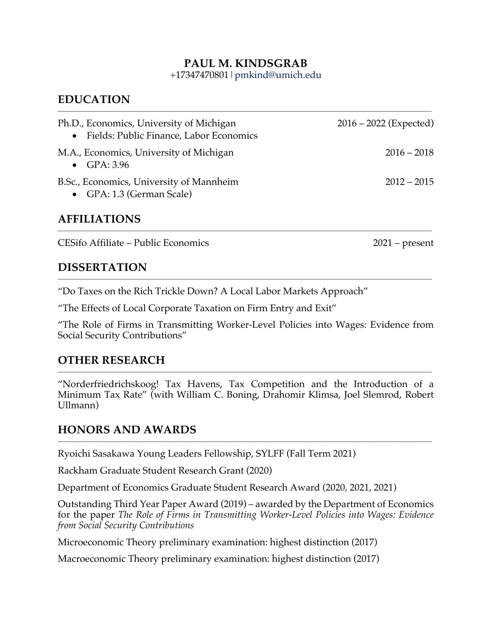### **PAUL M. KINDSGRAB**

+17347470801|pmkind@umich.edu

**\_\_\_\_\_\_\_\_\_\_\_\_\_\_\_\_\_\_\_\_\_\_\_\_\_\_\_\_\_\_\_\_\_\_\_\_\_\_\_\_\_\_\_\_\_\_\_\_\_\_\_\_\_\_\_\_\_\_\_\_\_\_\_\_\_\_\_\_\_\_\_\_\_\_\_\_\_\_\_\_\_\_\_\_\_\_\_\_\_\_\_\_\_\_\_\_\_\_\_\_\_\_\_\_\_\_\_\_\_\_\_\_\_\_\_\_\_\_\_\_\_\_\_\_\_\_\_\_\_\_\_\_\_**

## **EDUCATION**

| Ph.D., Economics, University of Michigan<br>• Fields: Public Finance, Labor Economics | $2016 - 2022$ (Expected) |
|---------------------------------------------------------------------------------------|--------------------------|
| M.A., Economics, University of Michigan<br>$\bullet$ GPA: 3.96                        | $2016 - 2018$            |
| B.Sc., Economics, University of Mannheim<br>• GPA: 1.3 (German Scale)                 | $2012 - 2015$            |

**\_\_\_\_\_\_\_\_\_\_\_\_\_\_\_\_\_\_\_\_\_\_\_\_\_\_\_\_\_\_\_\_\_\_\_\_\_\_\_\_\_\_\_\_\_\_\_\_\_\_\_\_\_\_\_\_\_\_\_\_\_\_\_\_\_\_\_\_\_\_\_\_\_\_\_\_\_\_\_\_\_\_\_\_\_\_\_\_\_\_\_\_\_\_\_\_\_\_\_\_\_\_\_\_\_\_\_\_\_\_\_\_\_\_\_\_\_\_\_\_\_\_\_\_\_\_\_\_\_\_\_\_\_**

**\_\_\_\_\_\_\_\_\_\_\_\_\_\_\_\_\_\_\_\_\_\_\_\_\_\_\_\_\_\_\_\_\_\_\_\_\_\_\_\_\_\_\_\_\_\_\_\_\_\_\_\_\_\_\_\_\_\_\_\_\_\_\_\_\_\_\_\_\_\_\_\_\_\_\_\_\_\_\_\_\_\_\_\_\_\_\_\_\_\_\_\_\_\_\_\_\_\_\_\_\_\_\_\_\_\_\_\_\_\_\_\_\_\_\_\_\_\_\_\_\_\_\_\_\_\_\_\_\_\_\_\_\_**

### **AFFILIATIONS**

CESifo Affiliate – Public Economics 2021 – present

### **DISSERTATION**

"Do Taxes on the Rich Trickle Down? A Local Labor Markets Approach"

"The Effects of Local Corporate Taxation on Firm Entry and Exit"

"The Role of Firms in Transmitting Worker-Level Policies into Wages: Evidence from Social Security Contributions"

### **OTHER RESEARCH**

"Norderfriedrichskoog! Tax Havens, Tax Competition and the Introduction of a Minimum Tax Rate" (with William C. Boning, Drahomir Klimsa, Joel Slemrod, Robert Ullmann)

**\_\_\_\_\_\_\_\_\_\_\_\_\_\_\_\_\_\_\_\_\_\_\_\_\_\_\_\_\_\_\_\_\_\_\_\_\_\_\_\_\_\_\_\_\_\_\_\_\_\_\_\_\_\_\_\_\_\_\_\_\_\_\_\_\_\_\_\_\_\_\_\_\_\_\_\_\_\_\_\_\_\_\_\_\_\_\_\_\_\_\_\_\_\_\_\_\_\_\_\_\_\_\_\_\_\_\_\_\_\_\_\_\_\_\_\_\_\_\_\_\_\_\_\_\_\_\_\_\_\_\_\_\_**

**\_\_\_\_\_\_\_\_\_\_\_\_\_\_\_\_\_\_\_\_\_\_\_\_\_\_\_\_\_\_\_\_\_\_\_\_\_\_\_\_\_\_\_\_\_\_\_\_\_\_\_\_\_\_\_\_\_\_\_\_\_\_\_\_\_\_\_\_\_\_\_\_\_\_\_\_\_\_\_\_\_\_\_\_\_\_\_\_\_\_\_\_\_\_\_\_\_\_\_\_\_\_\_\_\_\_\_\_\_\_\_\_\_\_\_\_\_\_\_\_\_\_\_\_\_\_\_\_\_\_\_\_\_**

# **HONORS AND AWARDS**

Ryoichi Sasakawa Young Leaders Fellowship, SYLFF (Fall Term 2021)

Rackham Graduate Student Research Grant (2020)

Department of Economics Graduate Student Research Award (2020, 2021, 2021)

Outstanding Third Year Paper Award (2019) – awarded by the Department of Economics for the paper *The Role of Firms in Transmitting Worker-Level Policies into Wages: Evidence from Social Security Contributions*

Microeconomic Theory preliminary examination: highest distinction (2017)

Macroeconomic Theory preliminary examination: highest distinction (2017)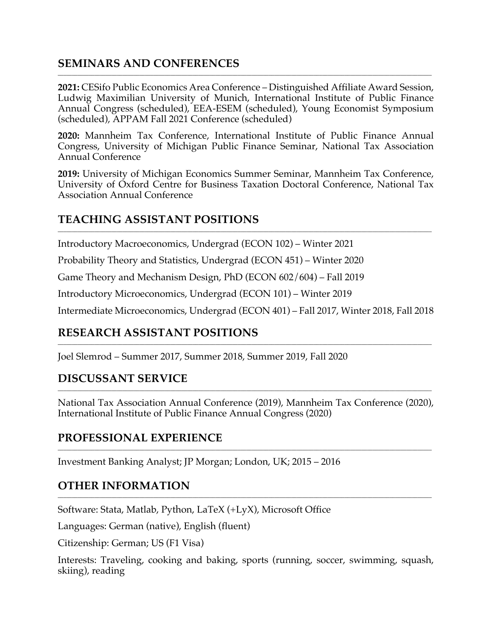# **SEMINARS AND CONFERENCES**

**2021:** CESifo Public Economics Area Conference – Distinguished Affiliate Award Session, Ludwig Maximilian University of Munich, International Institute of Public Finance Annual Congress (scheduled), EEA-ESEM (scheduled), Young Economist Symposium (scheduled), APPAM Fall 2021 Conference (scheduled)

**\_\_\_\_\_\_\_\_\_\_\_\_\_\_\_\_\_\_\_\_\_\_\_\_\_\_\_\_\_\_\_\_\_\_\_\_\_\_\_\_\_\_\_\_\_\_\_\_\_\_\_\_\_\_\_\_\_\_\_\_\_\_\_\_\_\_\_\_\_\_\_\_\_\_\_\_\_\_\_\_\_\_\_\_\_\_\_\_\_\_\_\_\_\_\_\_\_\_\_\_\_\_\_\_\_\_\_\_\_\_\_\_\_\_\_\_\_\_\_\_\_\_\_\_\_\_\_\_\_\_\_\_\_**

**2020:** Mannheim Tax Conference, International Institute of Public Finance Annual Congress, University of Michigan Public Finance Seminar, National Tax Association Annual Conference

**2019:** University of Michigan Economics Summer Seminar, Mannheim Tax Conference, University of Oxford Centre for Business Taxation Doctoral Conference, National Tax Association Annual Conference

**\_\_\_\_\_\_\_\_\_\_\_\_\_\_\_\_\_\_\_\_\_\_\_\_\_\_\_\_\_\_\_\_\_\_\_\_\_\_\_\_\_\_\_\_\_\_\_\_\_\_\_\_\_\_\_\_\_\_\_\_\_\_\_\_\_\_\_\_\_\_\_\_\_\_\_\_\_\_\_\_\_\_\_\_\_\_\_\_\_\_\_\_\_\_\_\_\_\_\_\_\_\_\_\_\_\_\_\_\_\_\_\_\_\_\_\_\_\_\_\_\_\_\_\_\_\_\_\_\_\_\_\_\_**

# **TEACHING ASSISTANT POSITIONS**

Introductory Macroeconomics, Undergrad (ECON 102) – Winter 2021

Probability Theory and Statistics, Undergrad (ECON 451) – Winter 2020

Game Theory and Mechanism Design, PhD (ECON 602/604) – Fall 2019

Introductory Microeconomics, Undergrad (ECON 101) – Winter 2019

Intermediate Microeconomics, Undergrad (ECON 401) – Fall 2017, Winter 2018, Fall 2018

**\_\_\_\_\_\_\_\_\_\_\_\_\_\_\_\_\_\_\_\_\_\_\_\_\_\_\_\_\_\_\_\_\_\_\_\_\_\_\_\_\_\_\_\_\_\_\_\_\_\_\_\_\_\_\_\_\_\_\_\_\_\_\_\_\_\_\_\_\_\_\_\_\_\_\_\_\_\_\_\_\_\_\_\_\_\_\_\_\_\_\_\_\_\_\_\_\_\_\_\_\_\_\_\_\_\_\_\_\_\_\_\_\_\_\_\_\_\_\_\_\_\_\_\_\_\_\_\_\_\_\_\_\_**

## **RESEARCH ASSISTANT POSITIONS**

Joel Slemrod – Summer 2017, Summer 2018, Summer 2019, Fall 2020

## **DISCUSSANT SERVICE**

National Tax Association Annual Conference (2019), Mannheim Tax Conference (2020), International Institute of Public Finance Annual Congress (2020)

**\_\_\_\_\_\_\_\_\_\_\_\_\_\_\_\_\_\_\_\_\_\_\_\_\_\_\_\_\_\_\_\_\_\_\_\_\_\_\_\_\_\_\_\_\_\_\_\_\_\_\_\_\_\_\_\_\_\_\_\_\_\_\_\_\_\_\_\_\_\_\_\_\_\_\_\_\_\_\_\_\_\_\_\_\_\_\_\_\_\_\_\_\_\_\_\_\_\_\_\_\_\_\_\_\_\_\_\_\_\_\_\_\_\_\_\_\_\_\_\_\_\_\_\_\_\_\_\_\_\_\_\_\_**

**\_\_\_\_\_\_\_\_\_\_\_\_\_\_\_\_\_\_\_\_\_\_\_\_\_\_\_\_\_\_\_\_\_\_\_\_\_\_\_\_\_\_\_\_\_\_\_\_\_\_\_\_\_\_\_\_\_\_\_\_\_\_\_\_\_\_\_\_\_\_\_\_\_\_\_\_\_\_\_\_\_\_\_\_\_\_\_\_\_\_\_\_\_\_\_\_\_\_\_\_\_\_\_\_\_\_\_\_\_\_\_\_\_\_\_\_\_\_\_\_\_\_\_\_\_\_\_\_\_\_\_\_\_**

**\_\_\_\_\_\_\_\_\_\_\_\_\_\_\_\_\_\_\_\_\_\_\_\_\_\_\_\_\_\_\_\_\_\_\_\_\_\_\_\_\_\_\_\_\_\_\_\_\_\_\_\_\_\_\_\_\_\_\_\_\_\_\_\_\_\_\_\_\_\_\_\_\_\_\_\_\_\_\_\_\_\_\_\_\_\_\_\_\_\_\_\_\_\_\_\_\_\_\_\_\_\_\_\_\_\_\_\_\_\_\_\_\_\_\_\_\_\_\_\_\_\_\_\_\_\_\_\_\_\_\_\_\_**

### **PROFESSIONAL EXPERIENCE**

Investment Banking Analyst; JP Morgan; London, UK; 2015 – 2016

## **OTHER INFORMATION**

Software: Stata, Matlab, Python, LaTeX (+LyX), Microsoft Office

Languages: German (native), English (fluent)

Citizenship: German; US (F1 Visa)

Interests: Traveling, cooking and baking, sports (running, soccer, swimming, squash, skiing), reading